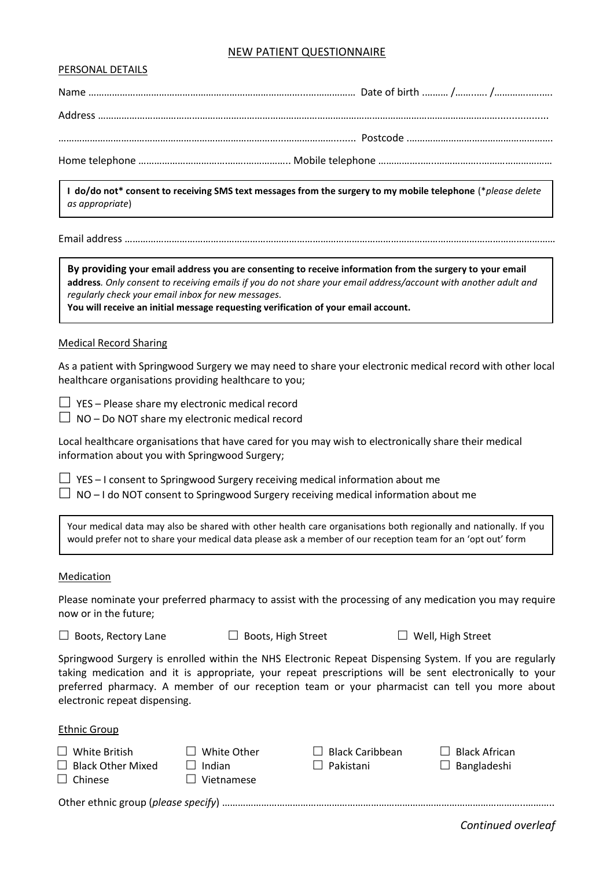# NEW PATIENT QUESTIONNAIRE

### PERSONAL DETAILS

| $\vert$ as appropriate) | I do/do not* consent to receiving SMS text messages from the surgery to my mobile telephone (*please delete |
|-------------------------|-------------------------------------------------------------------------------------------------------------|

Email address …………………………………………………………………………………………………………………………………………………

**By providing your email address you are consenting to receive information from the surgery to your email address***. Only consent to receiving emails if you do not share your email address/account with another adult and regularly check your email inbox for new messages.*

**You will receive an initial message requesting verification of your email account.**

#### Medical Record Sharing

As a patient with Springwood Surgery we may need to share your electronic medical record with other local healthcare organisations providing healthcare to you;

 $\Box$  YES – Please share my electronic medical record

 $\Box$  NO – Do NOT share my electronic medical record

Local healthcare organisations that have cared for you may wish to electronically share their medical information about you with Springwood Surgery;

 $\Box$  YES – I consent to Springwood Surgery receiving medical information about me  $\Box$  NO – I do NOT consent to Springwood Surgery receiving medical information about me

Your medical data may also be shared with other health care organisations both regionally and nationally. If you would prefer not to share your medical data please ask a member of our reception team for an 'opt out' form

#### Medication

Please nominate your preferred pharmacy to assist with the processing of any medication you may require now or in the future;

 $\Box$  Boots, Rectory Lane  $\Box$  Boots, High Street  $\Box$  Well, High Street

Springwood Surgery is enrolled within the NHS Electronic Repeat Dispensing System. If you are regularly taking medication and it is appropriate, your repeat prescriptions will be sent electronically to your preferred pharmacy. A member of our reception team or your pharmacist can tell you more about electronic repeat dispensing.

## Ethnic Group

 $\Box$  White British  $\Box$  White Other  $\Box$  Black Caribbean  $\Box$  Black African  $\Box$  Black Other Mixed  $\Box$  Indian  $\Box$  Pakistani  $\Box$  Bangladeshi  $\Box$  Chinese  $\Box$  Vietnamese

Other ethnic group (*please specify*) ……………………………………………………………………………………………………..………..

*Continued overleaf*